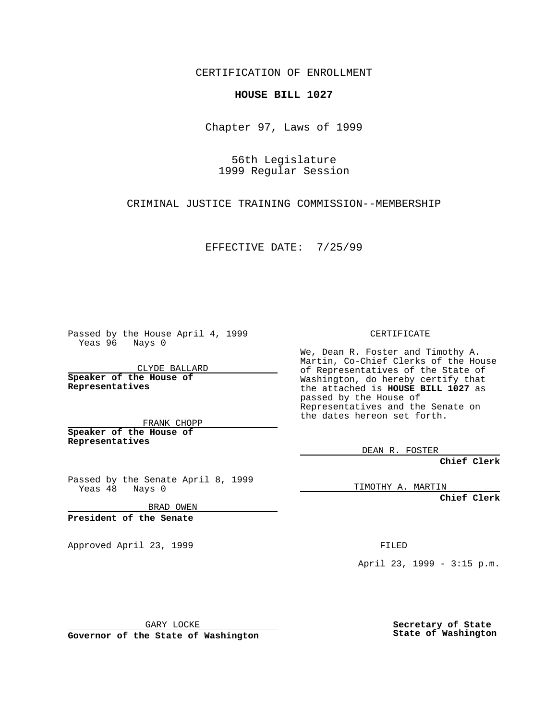CERTIFICATION OF ENROLLMENT

## **HOUSE BILL 1027**

Chapter 97, Laws of 1999

56th Legislature 1999 Regular Session

CRIMINAL JUSTICE TRAINING COMMISSION--MEMBERSHIP

EFFECTIVE DATE: 7/25/99

Passed by the House April 4, 1999 Yeas 96 Nays 0

CLYDE BALLARD **Speaker of the House of Representatives**

FRANK CHOPP **Speaker of the House of Representatives**

Passed by the Senate April 8, 1999 Yeas 48 Nays 0

BRAD OWEN

**President of the Senate**

Approved April 23, 1999 FILED

CERTIFICATE

We, Dean R. Foster and Timothy A. Martin, Co-Chief Clerks of the House of Representatives of the State of Washington, do hereby certify that the attached is **HOUSE BILL 1027** as passed by the House of Representatives and the Senate on the dates hereon set forth.

DEAN R. FOSTER

**Chief Clerk**

TIMOTHY A. MARTIN

**Chief Clerk**

April 23, 1999 - 3:15 p.m.

GARY LOCKE

**Governor of the State of Washington**

**Secretary of State State of Washington**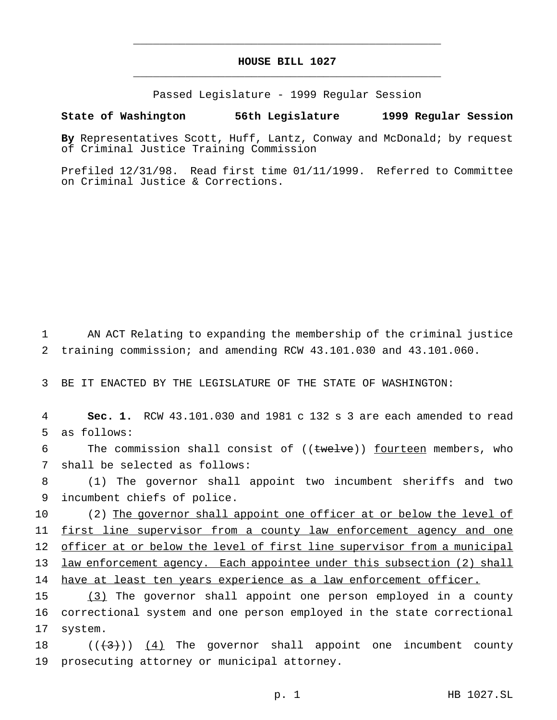## **HOUSE BILL 1027** \_\_\_\_\_\_\_\_\_\_\_\_\_\_\_\_\_\_\_\_\_\_\_\_\_\_\_\_\_\_\_\_\_\_\_\_\_\_\_\_\_\_\_\_\_\_\_

\_\_\_\_\_\_\_\_\_\_\_\_\_\_\_\_\_\_\_\_\_\_\_\_\_\_\_\_\_\_\_\_\_\_\_\_\_\_\_\_\_\_\_\_\_\_\_

Passed Legislature - 1999 Regular Session

## **State of Washington 56th Legislature 1999 Regular Session**

**By** Representatives Scott, Huff, Lantz, Conway and McDonald; by request of Criminal Justice Training Commission

Prefiled 12/31/98. Read first time 01/11/1999. Referred to Committee on Criminal Justice & Corrections.

1 AN ACT Relating to expanding the membership of the criminal justice 2 training commission; and amending RCW 43.101.030 and 43.101.060.

3 BE IT ENACTED BY THE LEGISLATURE OF THE STATE OF WASHINGTON:

4 **Sec. 1.** RCW 43.101.030 and 1981 c 132 s 3 are each amended to read 5 as follows:

6 The commission shall consist of ((twelve)) fourteen members, who 7 shall be selected as follows:

8 (1) The governor shall appoint two incumbent sheriffs and two 9 incumbent chiefs of police.

10 (2) The governor shall appoint one officer at or below the level of 11 first line supervisor from a county law enforcement agency and one 12 officer at or below the level of first line supervisor from a municipal 13 law enforcement agency. Each appointee under this subsection (2) shall 14 have at least ten years experience as a law enforcement officer.

15 (3) The governor shall appoint one person employed in a county 16 correctional system and one person employed in the state correctional 17 system.

18  $((+3))$   $(4)$  The governor shall appoint one incumbent county 19 prosecuting attorney or municipal attorney.